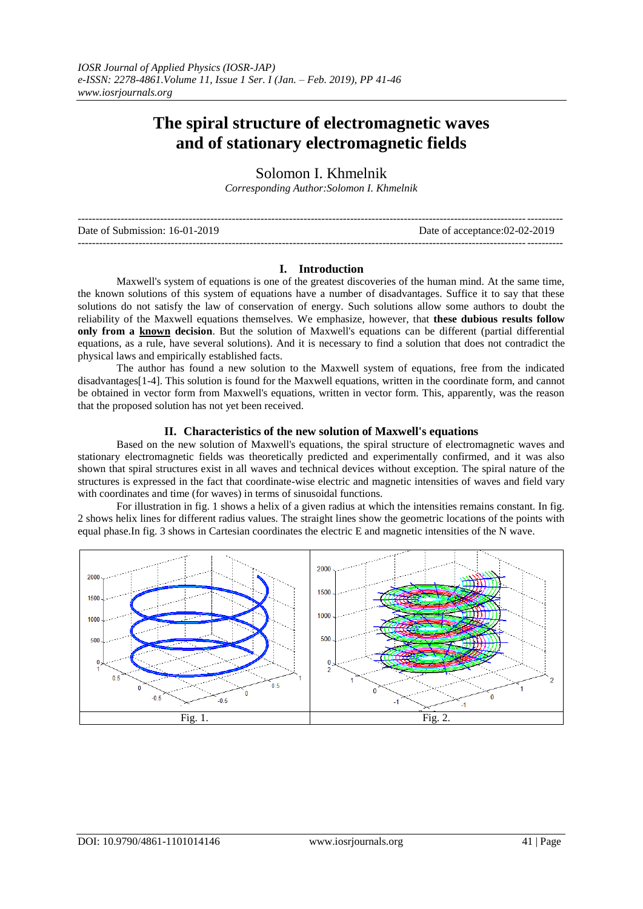# **The spiral structure of electromagnetic waves and of stationary electromagnetic fields**

Solomon I. Khmelnik *Corresponding Author:Solomon I. Khmelnik*

| Date of Submission: 16-01-2019 | Date of acceptance:02-02-2019 |
|--------------------------------|-------------------------------|
|                                |                               |

## **I. Introduction**

Maxwell's system of equations is one of the greatest discoveries of the human mind. At the same time, the known solutions of this system of equations have a number of disadvantages. Suffice it to say that these solutions do not satisfy the law of conservation of energy. Such solutions allow some authors to doubt the reliability of the Maxwell equations themselves. We emphasize, however, that **these dubious results follow only from a known decision**. But the solution of Maxwell's equations can be different (partial differential equations, as a rule, have several solutions). And it is necessary to find a solution that does not contradict the physical laws and empirically established facts.

The author has found a new solution to the Maxwell system of equations, free from the indicated disadvantages[1-4]. This solution is found for the Maxwell equations, written in the coordinate form, and cannot be obtained in vector form from Maxwell's equations, written in vector form. This, apparently, was the reason that the proposed solution has not yet been received.

#### **II. Characteristics of the new solution of Maxwell's equations**

Based on the new solution of Maxwell's equations, the spiral structure of electromagnetic waves and stationary electromagnetic fields was theoretically predicted and experimentally confirmed, and it was also shown that spiral structures exist in all waves and technical devices without exception. The spiral nature of the structures is expressed in the fact that coordinate-wise electric and magnetic intensities of waves and field vary with coordinates and time (for waves) in terms of sinusoidal functions.

For illustration in fig. 1 shows a helix of a given radius at which the intensities remains constant. In fig. 2 shows helix lines for different radius values. The straight lines show the geometric locations of the points with equal phase.In fig. 3 shows in Cartesian coordinates the electric E and magnetic intensities of the N wave.

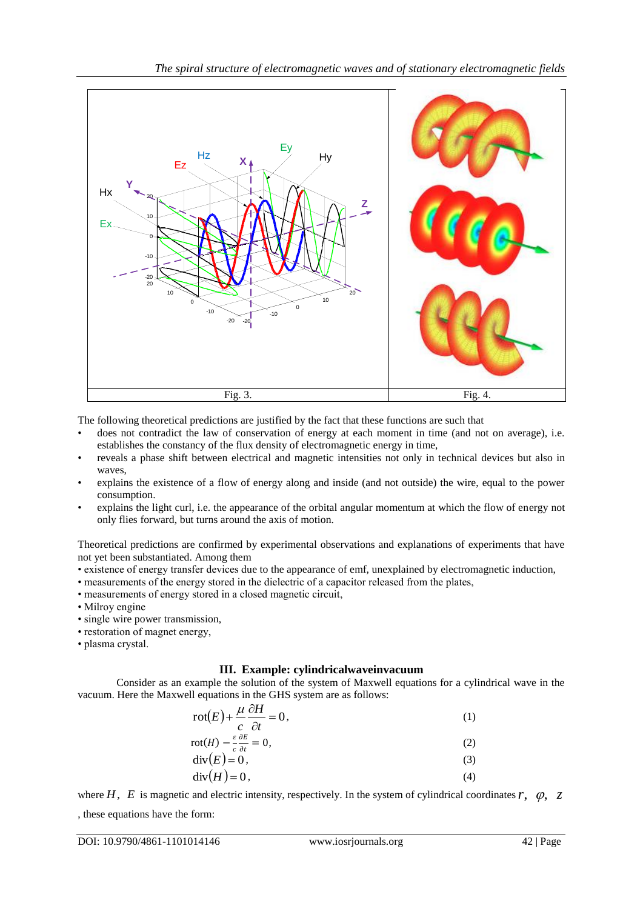

The following theoretical predictions are justified by the fact that these functions are such that

- does not contradict the law of conservation of energy at each moment in time (and not on average), i.e. establishes the constancy of the flux density of electromagnetic energy in time,
- reveals a phase shift between electrical and magnetic intensities not only in technical devices but also in waves,
- explains the existence of a flow of energy along and inside (and not outside) the wire, equal to the power consumption.
- explains the light curl, i.e. the appearance of the orbital angular momentum at which the flow of energy not only flies forward, but turns around the axis of motion.

Theoretical predictions are confirmed by experimental observations and explanations of experiments that have not yet been substantiated. Among them

- existence of energy transfer devices due to the appearance of emf, unexplained by electromagnetic induction,
- measurements of the energy stored in the dielectric of a capacitor released from the plates,
- measurements of energy stored in a closed magnetic circuit,
- Milroy engine
- single wire power transmission,
- restoration of magnet energy,
- plasma crystal.

## **III. Example: cylindricalwaveinvacuum**

Consider as an example the solution of the system of Maxwell equations for a cylindrical wave in the vacuum. Here the Maxwell equations in the GHS system are as follows:

$$
rot(E) + \frac{\mu}{c} \frac{\partial H}{\partial t} = 0,
$$
\n(1)

$$
rot(H) - \frac{\varepsilon}{c} \frac{\partial E}{\partial t} = 0,
$$
\n
$$
div(E) = 0,
$$
\n(2)

$$
\operatorname{div}(E) = 0,\tag{3}
$$
\n
$$
\operatorname{div}(H) = 0,\tag{4}
$$

where  $H$ ,  $E$  is magnetic and electric intensity, respectively. In the system of cylindrical coordinates  $r$ ,  $\varphi$ ,  $z$ 

, these equations have the form: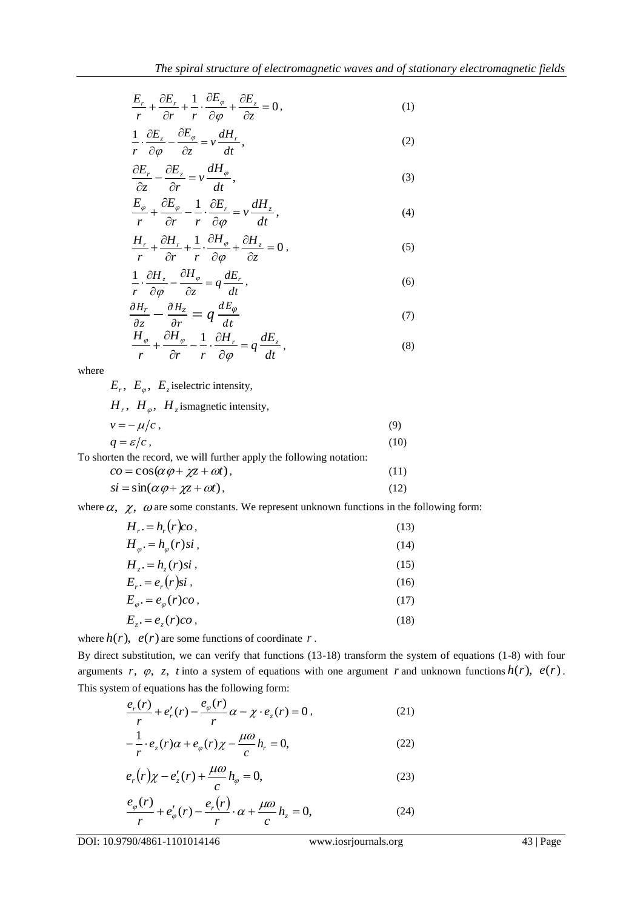$$
\frac{E_r}{r} + \frac{\partial E_r}{\partial r} + \frac{1}{r} \cdot \frac{\partial E_\varphi}{\partial \varphi} + \frac{\partial E_z}{\partial z} = 0, \tag{1}
$$

$$
\frac{1}{r} \cdot \frac{\partial E_z}{\partial \varphi} - \frac{\partial E_{\varphi}}{\partial z} = v \frac{dH_r}{dt},\qquad(2)
$$

$$
\frac{\partial E_r}{\partial z} - \frac{\partial E_z}{\partial r} = v \frac{dH_\varphi}{dt},\tag{3}
$$

$$
\frac{E_{\varphi}}{r} + \frac{\partial E_{\varphi}}{\partial r} - \frac{1}{r} \cdot \frac{\partial E_{r}}{\partial \varphi} = v \frac{dH_{z}}{dt},
$$
\n(4)

$$
\frac{H_r}{r} + \frac{\partial H_r}{\partial r} + \frac{1}{r} \cdot \frac{\partial H_\varphi}{\partial \varphi} + \frac{\partial H_z}{\partial z} = 0,
$$
\n(5)

$$
\frac{1}{r} \cdot \frac{\partial H_z}{\partial \varphi} - \frac{\partial H_{\varphi}}{\partial z} = q \frac{dE_r}{dt},\tag{6}
$$

$$
\frac{\partial H_r}{\partial z} - \frac{\partial H_z}{\partial r} = q \frac{dE_\varphi}{dt} \tag{7}
$$

$$
\frac{H_{\varphi}}{r} + \frac{\partial H_{\varphi}}{\partial r} - \frac{1}{r} \cdot \frac{\partial H_{r}}{\partial \varphi} = q \frac{dE_{z}}{dt},
$$
\n(8)

where

 $E_r$ ,  $E_\varphi$ ,  $E_z$  iselectric intensity,

| $H_r$ , $H_{\varphi}$ , $H_z$ is magnetic intensity, |      |
|------------------------------------------------------|------|
| $v = -\mu/c$ ,                                       | (9)  |
| $q = \varepsilon/c$ ,                                | (10) |

| To shorten the record, we will further apply the following notation: |      |
|----------------------------------------------------------------------|------|
| $\cos(\alpha \varphi + \chi z + \omega t),$                          | (11) |
| $si = \sin(\alpha \varphi + \chi z + \omega t),$                     | (12) |

where  $\alpha$ ,  $\chi$ ,  $\omega$  are some constants. We represent unknown functions in the following form:

| $H_{r} = h_{r}(r)c\omega$ ,            | (13) |
|----------------------------------------|------|
| $H_{\varphi} = h_{\varphi}(r)si$ ,     | (14) |
| $H_{\tau} = h_{z}(r)si$ ,              | (15) |
| $E_{r} = e_{r}(r)si$ ,                 | (16) |
| $E_{\varphi}$ . = $e_{\varphi}(r)co$ , | (17) |
| $E_{r} = e_{z}(r)co$ ,                 | (18) |

where  $h(r)$ ,  $e(r)$  are some functions of coordinate r.

By direct substitution, we can verify that functions (13-18) transform the system of equations (1-8) with four arguments  $r$ ,  $\varphi$ ,  $z$ ,  $t$  into a system of equations with one argument  $r$  and unknown functions  $h(r)$ ,  $e(r)$ . This system of equations has the following form:

$$
\frac{e_r(r)}{r} + e'_r(r) - \frac{e_\varphi(r)}{r} \alpha - \chi \cdot e_z(r) = 0, \qquad (21)
$$

$$
-\frac{1}{r} \cdot e_z(r)\alpha + e_\varphi(r)\chi - \frac{\mu\omega}{c}h_r = 0,
$$
\n(22)

$$
e_r(r)\chi - e'_z(r) + \frac{\mu\omega}{c}h_\varphi = 0,
$$
\n(23)

$$
\frac{e_{\varphi}(r)}{r} + e_{\varphi}'(r) - \frac{e_r(r)}{r} \cdot \alpha + \frac{\mu \omega}{c} h_z = 0, \tag{24}
$$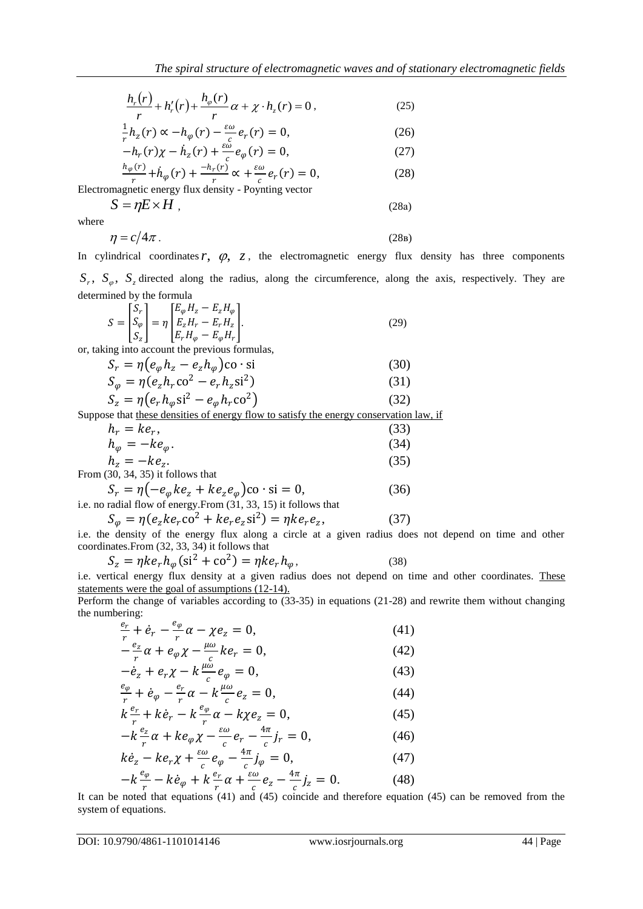$$
\frac{h_r(r)}{r} + h'_r(r) + \frac{h_\varphi(r)}{r}\alpha + \chi \cdot h_z(r) = 0, \qquad (25)
$$

$$
\frac{1}{r}h_z(r) \propto -h_{\varphi}(r) - \frac{\varepsilon \omega}{c}e_r(r) = 0,
$$
\n
$$
-h_r(r)\chi - \dot{h}_z(r) + \frac{\varepsilon \omega}{c}e_{\varphi}(r) = 0,
$$
\n(27)

$$
\frac{h_{\varphi}(r)}{r} + \dot{h}_{\varphi}(r) + \frac{-h_r(r)}{r} \propto + \frac{\varepsilon \omega}{c} e_r(r) = 0,
$$
\n(28)

Electromagnetic energy flux density - Poynting vector

where

$$
\eta = c/4\pi \,. \tag{28b}
$$

 $S = \eta E \times H$ , (28a)

In cylindrical coordinates  $r$ ,  $\varphi$ ,  $z$ , the electromagnetic energy flux density has three components  $S_r$ ,  $S_\varphi$ ,  $S_z$  directed along the radius, along the circumference, along the axis, respectively. They are determined by the formula

$$
S = \begin{bmatrix} S_r \\ S_\varphi \\ S_z \end{bmatrix} = \eta \begin{bmatrix} E_\varphi H_z - E_z H_\varphi \\ E_z H_r - E_r H_z \\ E_r H_\varphi - E_\varphi H_r \end{bmatrix} . \tag{29}
$$

or, taking into account the previous formulas,

$$
S_r = \eta \left( e_{\varphi} h_z - e_z h_{\varphi} \right) \text{co} \cdot \text{si}
$$
\n
$$
S_r = \eta \left( e_{\varphi} h_z - e_z h_{\varphi} \right) \text{co} \cdot \text{si}
$$
\n(30)

$$
S_{\varphi} = \eta (e_z h_r \text{co}^2 - e_r h_z \text{si}^2)
$$
  
\n
$$
S_z = \eta (e_r h_{\varphi} \text{si}^2 - e_{\varphi} h_r \text{co}^2)
$$
\n(31)

Suppose that these densities of energy flow to satisfy the energy conservation law, if

$$
\frac{h_r(r)}{r} + h_r'(r) + \frac{h_\varphi(r)}{r} \alpha + \chi \cdot h_\xi(r) = 0, \qquad (25)
$$
\n
$$
\frac{1}{r} h_{\varphi}(r) \propto -h_{\varphi}(r) - \frac{\omega_0}{r} e_\varphi(r) = 0, \qquad (26)
$$
\n
$$
-h_r(r)\chi - h_{\varphi}(r) + \frac{\omega_0}{r} e_\varphi(r) = 0, \qquad (27)
$$
\n
$$
\frac{h_{\varphi}(r)}{r} + h_{\varphi}(r) + \frac{h_{\varphi}(r)}{r} \propto + \frac{\omega_0}{r} e_\varphi(r) = 0, \qquad (28)
$$
\nElectromagnetic energy flux density  $P$  by  $\pi$  is

\nintermediate energy flux density  $P$  by  $\pi$  is

\nwhere

\n
$$
\eta = c/4\pi.
$$
\n18.28a)

\nwhere

\n
$$
f = c/4\pi.
$$
\n29a)

\nwhere

\n
$$
f = \frac{1}{\sqrt{2\pi}} \times H
$$
\n30

\n14

\n15

\n16

\n17

\n18.29

\n18.20

\n19

\n19

\n10

\n10

\n11

\n13

\n12

\n13

\n24

\n35

\n4

\n5

\n6

\n7

\n8

\n9

\n10

\n11

\n12

\n13

\n13

\n24

\n14

\n15

\n16

\n17

\n18

\n19

\n10

\n10

\n11

\n11

\n12

\n13

\n13

\n14

\n15

\n16

\n

i.e. no radial flow of energy.From (31, 33, 15) it follows that

$$
S_{\varphi} = \eta(e_z ke_r \cos^2 + ke_r e_z \sin^2) = \eta k e_r e_z,\tag{37}
$$

i.e. the density of the energy flux along a circle at a given radius does not depend on time and other coordinates.From (32, 33, 34) it follows that

$$
S_z = \eta k e_r h_\varphi (\text{si}^2 + \text{co}^2) = \eta k e_r h_\varphi, \tag{38}
$$

i.e. vertical energy flux density at a given radius does not depend on time and other coordinates. These statements were the goal of assumptions (12-14).

Perform the change of variables according to (33-35) in equations (21-28) and rewrite them without changing the numbering:

$$
\frac{e_r}{r} + \dot{e}_r - \frac{e_\varphi}{r} \alpha - \chi e_z = 0, \tag{41}
$$

$$
-\frac{e_z}{r}\alpha + e_\varphi \chi - \frac{\mu \omega}{c} k e_r = 0, \tag{42}
$$

$$
-\dot{e}_z + e_r \chi - k \frac{\mu \omega}{c} e_\varphi = 0, \tag{43}
$$
  

$$
\frac{e_\varphi}{r} + \dot{e}_\varphi - \frac{e_r}{r} \alpha - k \frac{\mu \omega}{c} e_z = 0, \tag{44}
$$

$$
k\frac{e_r}{r} + k\dot{e}_r - k\frac{e_\varphi}{r}\alpha - k\chi e_z = 0, \qquad (45)
$$

$$
-k\frac{e_z}{r}\alpha + ke_{\varphi}\chi - \frac{\varepsilon\omega}{c}e_r - \frac{4\pi}{c}j_r = 0, \tag{46}
$$

$$
k\dot{e}_z - k e_r \chi + \frac{\varepsilon \omega}{c} e_\varphi - \frac{\varepsilon \pi}{c} j_\varphi = 0, \tag{47}
$$
  

$$
-k \frac{e_\varphi}{r} - k \dot{e}_\varphi + k \frac{e_r}{r} \alpha + \frac{\varepsilon \omega}{c} e_z - \frac{4\pi}{c} j_z = 0. \tag{48}
$$

It can be noted that equations (41) and (45) coincide and therefore equation (45) can be removed from the system of equations.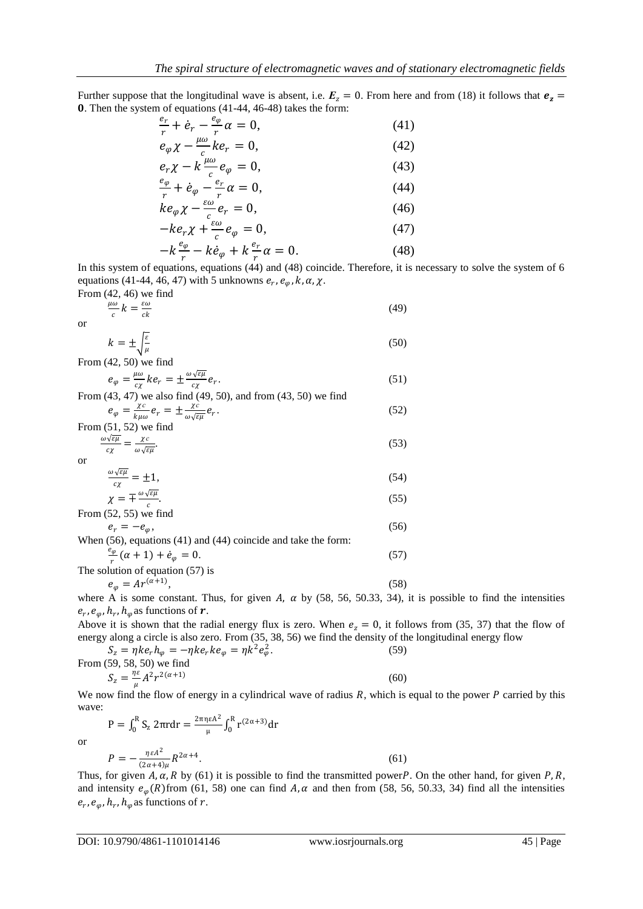Further suppose that the longitudinal wave is absent, i.e.  $E_z = 0$ . From here and from (18) it follows that  $e_z =$ . Then the system of equations (41-44, 46-48) takes the form:

$$
\frac{e_r}{r} + \dot{e}_r - \frac{e_\varphi}{r} \alpha = 0,\tag{41}
$$

$$
e_{\varphi} \chi - \frac{\mu \omega}{c} k e_r = 0, \tag{42}
$$
\n
$$
e_r \chi - k \frac{\mu \omega}{c} e_{\varphi} = 0, \tag{43}
$$

$$
e_r \chi - k \frac{\mu \omega}{c} e_\varphi = 0, \tag{43}
$$
\n
$$
\frac{e_\varphi}{r} + \dot{e}_\varphi - \frac{e_r}{r} \alpha = 0, \tag{44}
$$

$$
\frac{r}{ke_{\varphi}\chi} - \frac{\varepsilon\omega}{c} \frac{r}{e_r} = 0, \tag{46}
$$

$$
-ke_r \chi + \frac{\epsilon \omega}{c} e_{\varphi} = 0, \tag{47}
$$

$$
-k\frac{e_{\varphi}}{r} - k\dot{e}_{\varphi} + k\frac{e_r}{r}\alpha = 0.
$$
 (48)

In this system of equations, equations (44) and (48) coincide. Therefore, it is necessary to solve the system of 6 equations (41-44, 46, 47) with 5 unknowns  $e_r$ ,  $e_\varphi$ , k,  $\alpha$ ,  $\chi$ .

From (42, 46) we find  
\n
$$
\frac{\mu\omega}{c}k = \frac{\varepsilon\omega}{ck}
$$
\n(49)

or

$$
k = \pm \sqrt{\frac{\varepsilon}{\mu}} \tag{50}
$$

From (42, 50) we find

$$
e_{\varphi} = \frac{\mu \omega}{c\chi} k e_r = \pm \frac{\omega \sqrt{\varepsilon \mu}}{c\chi} e_r.
$$
 (51)  
From (43–47) we also find (49–50) and from (43–50) we find

$$
e_{\varphi} = \frac{\chi c}{k\mu\omega} e_r = \pm \frac{\chi c}{\omega\sqrt{\epsilon\mu}} e_r.
$$
 (52)

From (51, 52) we find  
\n
$$
\frac{\omega\sqrt{\varepsilon\mu}}{c\chi} = \frac{\chi c}{\omega\sqrt{\varepsilon\mu}}.
$$
\n(53)

or

$$
\frac{\omega\sqrt{\varepsilon\mu}}{c\chi} = \pm 1,\tag{54}
$$

$$
\chi = \mp \frac{\omega \sqrt{\varepsilon \mu}}{c}.
$$
\n(55)

From  $(52, 55)$  we find

$$
e_r = -e_\varphi,
$$
\nWhen (56), equations (41) and (44) coincide and take the form:

$$
\frac{e_{\varphi}}{r}(\alpha + 1) + \dot{e}_{\varphi} = 0.
$$
\nThe solution of equation (57) is

$$
e_{\varphi} = Ar^{(\alpha+1)},\tag{58}
$$

where A is some constant. Thus, for given A,  $\alpha$  by (58, 56, 50.33, 34), it is possible to find the intensities  $e_r$ ,  $e_\varphi$ ,  $h_r$ ,  $h_\varphi$  as functions of  $r$ .

Above it is shown that the radial energy flux is zero. When  $e_z = 0$ , it follows from (35, 37) that the flow of energy along a circle is also zero. From (35, 38, 56) we find the density of the longitudinal energy flow

 $S_z = \eta k e_r h_\varphi = - \eta k e_r k e_\varphi = \eta k^2 e_\varphi^2$ . (59) From (59, 58, 50) we find  $S_z = \frac{\eta \varepsilon}{\mu}$  $\frac{\eta \varepsilon}{\mu} A^2 r^{2(\alpha+1)}$ (60)

We now find the flow of energy in a cylindrical wave of radius  $R$ , which is equal to the power  $P$  carried by this wave:

$$
P = \int_0^R S_z 2\pi r dr = \frac{2\pi n \epsilon A^2}{\mu} \int_0^R r^{(2\alpha+3)} dr
$$
  

$$
P = -\frac{n \epsilon A^2}{(2\alpha+4)\mu} R^{2\alpha+4}.
$$
 (61)

or

Thus, for given A,  $\alpha$ , R by (61) it is possible to find the transmitted power P. On the other hand, for given P, R, and intensity  $e_{\varphi}(R)$  from (61, 58) one can find A,  $\alpha$  and then from (58, 56, 50.33, 34) find all the intensities  $e_r$ ,  $e_\varphi$ ,  $h_r$ ,  $h_\varphi$  as functions of  $r$ .